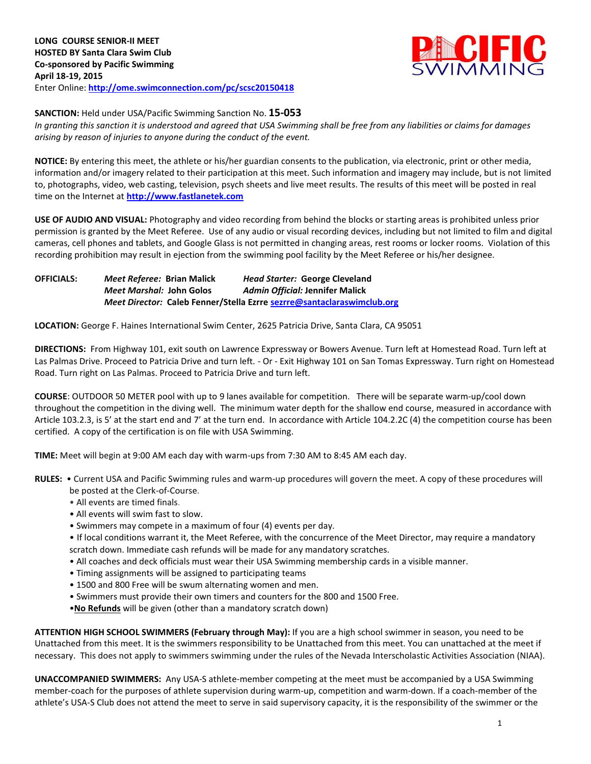

## **SANCTION:** Held under USA/Pacific Swimming Sanction No. **15-053**

*In granting this sanction it is understood and agreed that USA Swimming shall be free from any liabilities or claims for damages arising by reason of injuries to anyone during the conduct of the event.*

**NOTICE:** By entering this meet, the athlete or his/her guardian consents to the publication, via electronic, print or other media, information and/or imagery related to their participation at this meet. Such information and imagery may include, but is not limited to, photographs, video, web casting, television, psych sheets and live meet results. The results of this meet will be posted in real time on the Internet at **[http://www.fastlanetek.com](http://www.fastlanetek.com/)**

**USE OF AUDIO AND VISUAL:** Photography and video recording from behind the blocks or starting areas is prohibited unless prior permission is granted by the Meet Referee. Use of any audio or visual recording devices, including but not limited to film and digital cameras, cell phones and tablets, and Google Glass is not permitted in changing areas, rest rooms or locker rooms. Violation of this recording prohibition may result in ejection from the swimming pool facility by the Meet Referee or his/her designee.

**OFFICIALS:** *Meet Referee:* **Brian Malick** *Head Starter:* **George Cleveland** *Meet Marshal:* **John Golos** *Admin Official:* **Jennifer Malick** *Meet Director:* **Caleb Fenner/Stella Ezrre [sezrre@santaclaraswimclub.org](mailto:sezrre@santaclaraswimclub.org)**

**LOCATION:** George F. Haines International Swim Center, 2625 Patricia Drive, Santa Clara, CA 95051

**DIRECTIONS:** From Highway 101, exit south on Lawrence Expressway or Bowers Avenue. Turn left at Homestead Road. Turn left at Las Palmas Drive. Proceed to Patricia Drive and turn left. - Or - Exit Highway 101 on San Tomas Expressway. Turn right on Homestead Road. Turn right on Las Palmas. Proceed to Patricia Drive and turn left.

**COURSE**: OUTDOOR 50 METER pool with up to 9 lanes available for competition. There will be separate warm-up/cool down throughout the competition in the diving well. The minimum water depth for the shallow end course, measured in accordance with Article 103.2.3, is 5' at the start end and 7' at the turn end. In accordance with Article 104.2.2C (4) the competition course has been certified. A copy of the certification is on file with USA Swimming.

**TIME:** Meet will begin at 9:00 AM each day with warm-ups from 7:30 AM to 8:45 AM each day.

**RULES:** • Current USA and Pacific Swimming rules and warm-up procedures will govern the meet. A copy of these procedures will

- be posted at the Clerk-of-Course.
- All events are timed finals.
- All events will swim fast to slow.
- Swimmers may compete in a maximum of four (4) events per day.

• If local conditions warrant it, the Meet Referee, with the concurrence of the Meet Director, may require a mandatory scratch down. Immediate cash refunds will be made for any mandatory scratches.

- All coaches and deck officials must wear their USA Swimming membership cards in a visible manner.
- Timing assignments will be assigned to participating teams
- 1500 and 800 Free will be swum alternating women and men.
- Swimmers must provide their own timers and counters for the 800 and 1500 Free.
- •**No Refunds** will be given (other than a mandatory scratch down)

**ATTENTION HIGH SCHOOL SWIMMERS (February through May):** If you are a high school swimmer in season, you need to be Unattached from this meet. It is the swimmers responsibility to be Unattached from this meet. You can unattached at the meet if necessary. This does not apply to swimmers swimming under the rules of the Nevada Interscholastic Activities Association (NIAA).

**UNACCOMPANIED SWIMMERS:** Any USA-S athlete-member competing at the meet must be accompanied by a USA Swimming member-coach for the purposes of athlete supervision during warm-up, competition and warm-down. If a coach-member of the athlete's USA-S Club does not attend the meet to serve in said supervisory capacity, it is the responsibility of the swimmer or the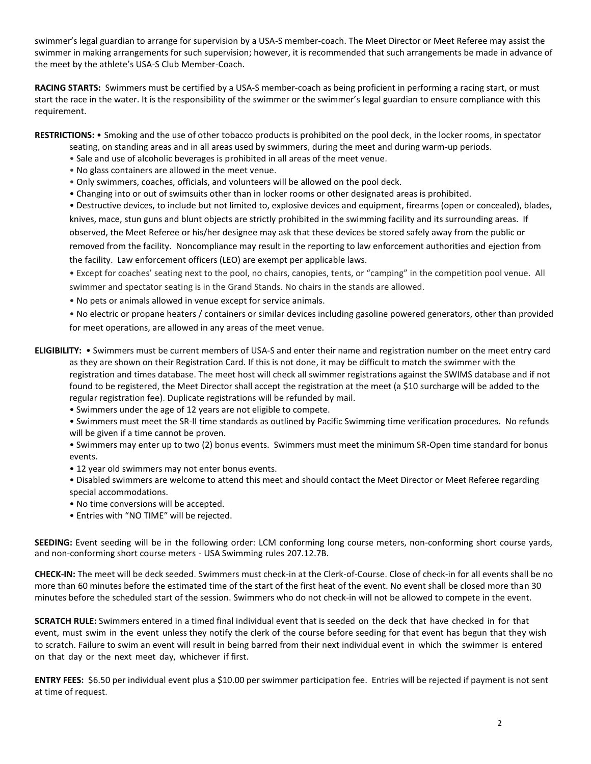swimmer's legal guardian to arrange for supervision by a USA-S member-coach. The Meet Director or Meet Referee may assist the swimmer in making arrangements for such supervision; however, it is recommended that such arrangements be made in advance of the meet by the athlete's USA-S Club Member-Coach.

**RACING STARTS:** Swimmers must be certified by a USA-S member-coach as being proficient in performing a racing start, or must start the race in the water. It is the responsibility of the swimmer or the swimmer's legal guardian to ensure compliance with this requirement.

**RESTRICTIONS:** • Smoking and the use of other tobacco products is prohibited on the pool deck, in the locker rooms, in spectator

- seating, on standing areas and in all areas used by swimmers, during the meet and during warm-up periods.
- Sale and use of alcoholic beverages is prohibited in all areas of the meet venue.
- No glass containers are allowed in the meet venue.
- Only swimmers, coaches, officials, and volunteers will be allowed on the pool deck.
- Changing into or out of swimsuits other than in locker rooms or other designated areas is prohibited.
- Destructive devices, to include but not limited to, explosive devices and equipment, firearms (open or concealed), blades, knives, mace, stun guns and blunt objects are strictly prohibited in the swimming facility and its surrounding areas. If observed, the Meet Referee or his/her designee may ask that these devices be stored safely away from the public or removed from the facility. Noncompliance may result in the reporting to law enforcement authorities and ejection from the facility. Law enforcement officers (LEO) are exempt per applicable laws.

• Except for coaches' seating next to the pool, no chairs, canopies, tents, or "camping" in the competition pool venue. All swimmer and spectator seating is in the Grand Stands. No chairs in the stands are allowed.

• No pets or animals allowed in venue except for service animals.

• No electric or propane heaters / containers or similar devices including gasoline powered generators, other than provided for meet operations, are allowed in any areas of the meet venue.

**ELIGIBILITY:** • Swimmers must be current members of USA-S and enter their name and registration number on the meet entry card as they are shown on their Registration Card. If this is not done, it may be difficult to match the swimmer with the registration and times database. The meet host will check all swimmer registrations against the SWIMS database and if not found to be registered, the Meet Director shall accept the registration at the meet (a \$10 surcharge will be added to the regular registration fee). Duplicate registrations will be refunded by mail.

• Swimmers under the age of 12 years are not eligible to compete.

• Swimmers must meet the SR-II time standards as outlined by Pacific Swimming time verification procedures. No refunds will be given if a time cannot be proven.

• Swimmers may enter up to two (2) bonus events. Swimmers must meet the minimum SR-Open time standard for bonus events.

- 12 year old swimmers may not enter bonus events.
- Disabled swimmers are welcome to attend this meet and should contact the Meet Director or Meet Referee regarding special accommodations.
- No time conversions will be accepted.
- Entries with "NO TIME" will be rejected.

**SEEDING:** Event seeding will be in the following order: LCM conforming long course meters, non-conforming short course yards, and non-conforming short course meters - USA Swimming rules 207.12.7B.

**CHECK-IN:** The meet will be deck seeded. Swimmers must check-in at the Clerk-of-Course. Close of check‐in for all events shall be no more than 60 minutes before the estimated time of the start of the first heat of the event. No event shall be closed more than 30 minutes before the scheduled start of the session. Swimmers who do not check-in will not be allowed to compete in the event.

**SCRATCH RULE:** Swimmers entered in a timed final individual event that is seeded on the deck that have checked in for that event, must swim in the event unless they notify the clerk of the course before seeding for that event has begun that they wish to scratch. Failure to swim an event will result in being barred from their next individual event in which the swimmer is entered on that day or the next meet day, whichever if first.

**ENTRY FEES:** \$6.50 per individual event plus a \$10.00 per swimmer participation fee. Entries will be rejected if payment is not sent at time of request.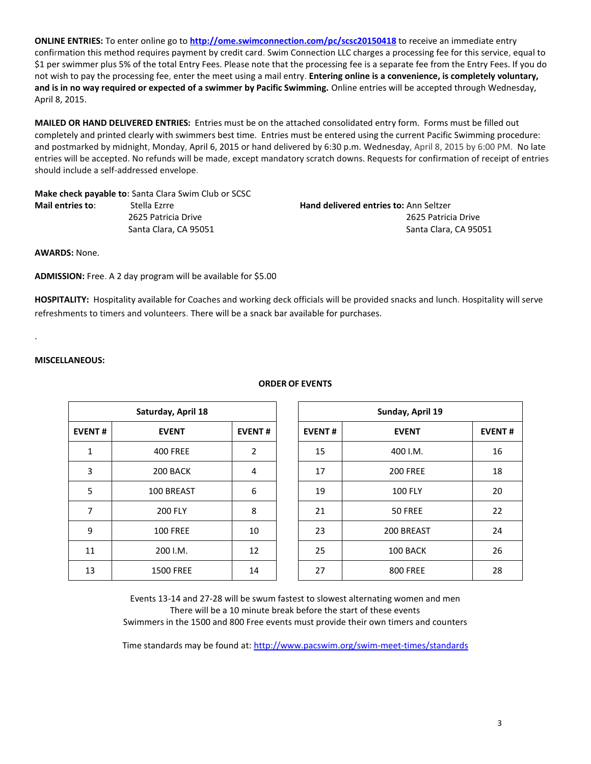**ONLINE ENTRIES:** To enter online go to **<http://ome.swimconnection.com/pc/scsc20150418>** to receive an immediate entry confirmation this method requires payment by credit card. Swim Connection LLC charges a processing fee for this service, equal to \$1 per swimmer plus 5% of the total Entry Fees. Please note that the processing fee is a separate fee from the Entry Fees. If you do not wish to pay the processing fee, enter the meet using a mail entry. **Entering online is a convenience, is completely voluntary, and is in no way required or expected of a swimmer by Pacific Swimming.** Online entries will be accepted through Wednesday, April 8, 2015.

**MAILED OR HAND DELIVERED ENTRIES:** Entries must be on the attached consolidated entry form. Forms must be filled out completely and printed clearly with swimmers best time. Entries must be entered using the current Pacific Swimming procedure: and postmarked by midnight, Monday, April 6, 2015 or hand delivered by 6:30 p.m. Wednesday, April 8, 2015 by 6:00 PM. No late entries will be accepted. No refunds will be made, except mandatory scratch downs. Requests for confirmation of receipt of entries should include a self-addressed envelope.

**Make check payable to:** Santa Clara Swim Club or SCSC **Mail entries to:** Stella Ezrre **Hand delivered entries to:** Ann Seltzer

2625 Patricia Drive2625 Patricia Drive **Santa Clara, CA 95051 Santa Clara, CA 95051 Santa Clara, CA 95051** 

**AWARDS:** None.

**ADMISSION:** Free. A 2 day program will be available for \$5.00

**HOSPITALITY:** Hospitality available for Coaches and working deck officials will be provided snacks and lunch. Hospitality will serve refreshments to timers and volunteers. There will be a snack bar available for purchases.

**MISCELLANEOUS:**

.

| Saturday, April 18 |                  |                |  | Sunday, April 19 |                 |               |  |  |
|--------------------|------------------|----------------|--|------------------|-----------------|---------------|--|--|
| <b>EVENT#</b>      | <b>EVENT</b>     | <b>EVENT#</b>  |  | <b>EVENT#</b>    | <b>EVENT</b>    | <b>EVENT#</b> |  |  |
| 1                  | <b>400 FREE</b>  | $\overline{2}$ |  | 15               | 400 I.M.        | 16            |  |  |
| 3                  | 200 BACK         | 4              |  | 17               | <b>200 FREE</b> | 18            |  |  |
| 5                  | 100 BREAST       | 6              |  | 19               | <b>100 FLY</b>  | 20            |  |  |
| 7                  | <b>200 FLY</b>   | 8              |  | 21               | 50 FREE         | 22            |  |  |
| 9                  | <b>100 FREE</b>  | 10             |  | 23               | 200 BREAST      | 24            |  |  |
| 11                 | 200 I.M.         | 12             |  | 25               | 100 BACK        | 26            |  |  |
| 13                 | <b>1500 FREE</b> | 14             |  | 27               | <b>800 FREE</b> | 28            |  |  |

## **Saturday, April 18 Sunday, April 19**

13 1500 FREE 14 27 800 FREE 28 Events 13-14 and 27-28 will be swum fastest to slowest alternating women and men There will be a 10 minute break before the start of these events

Swimmers in the 1500 and 800 Free events must provide their own timers and counters

Time standards may be found at:<http://www.pacswim.org/swim-meet-times/standards>

## **ORDER OF EVENTS**